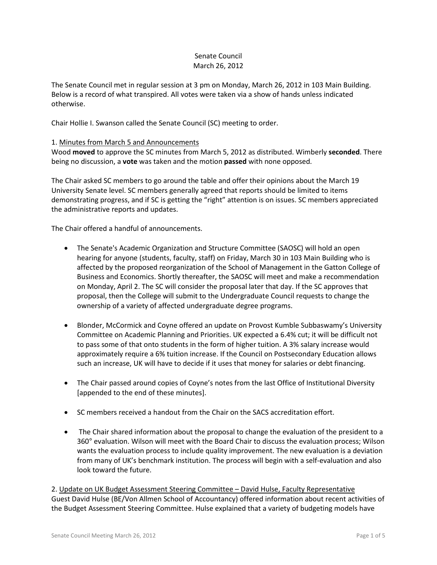## Senate Council March 26, 2012

The Senate Council met in regular session at 3 pm on Monday, March 26, 2012 in 103 Main Building. Below is a record of what transpired. All votes were taken via a show of hands unless indicated otherwise.

Chair Hollie I. Swanson called the Senate Council (SC) meeting to order.

## 1. Minutes from March 5 and Announcements

Wood **moved** to approve the SC minutes from March 5, 2012 as distributed. Wimberly **seconded**. There being no discussion, a **vote** was taken and the motion **passed** with none opposed.

The Chair asked SC members to go around the table and offer their opinions about the March 19 University Senate level. SC members generally agreed that reports should be limited to items demonstrating progress, and if SC is getting the "right" attention is on issues. SC members appreciated the administrative reports and updates.

The Chair offered a handful of announcements.

- The Senate's Academic Organization and Structure Committee (SAOSC) will hold an open hearing for anyone (students, faculty, staff) on Friday, March 30 in 103 Main Building who is affected by the proposed reorganization of the School of Management in the Gatton College of Business and Economics. Shortly thereafter, the SAOSC will meet and make a recommendation on Monday, April 2. The SC will consider the proposal later that day. If the SC approves that proposal, then the College will submit to the Undergraduate Council requests to change the ownership of a variety of affected undergraduate degree programs.
- Blonder, McCormick and Coyne offered an update on Provost Kumble Subbaswamy's University Committee on Academic Planning and Priorities. UK expected a 6.4% cut; it will be difficult not to pass some of that onto students in the form of higher tuition. A 3% salary increase would approximately require a 6% tuition increase. If the Council on Postsecondary Education allows such an increase, UK will have to decide if it uses that money for salaries or debt financing.
- The Chair passed around copies of Coyne's notes from the last Office of Institutional Diversity [appended to the end of these minutes].
- SC members received a handout from the Chair on the SACS accreditation effort.
- The Chair shared information about the proposal to change the evaluation of the president to a 360° evaluation. Wilson will meet with the Board Chair to discuss the evaluation process; Wilson wants the evaluation process to include quality improvement. The new evaluation is a deviation from many of UK's benchmark institution. The process will begin with a self-evaluation and also look toward the future.

2. Update on UK Budget Assessment Steering Committee – David Hulse, Faculty Representative Guest David Hulse (BE/Von Allmen School of Accountancy) offered information about recent activities of the Budget Assessment Steering Committee. Hulse explained that a variety of budgeting models have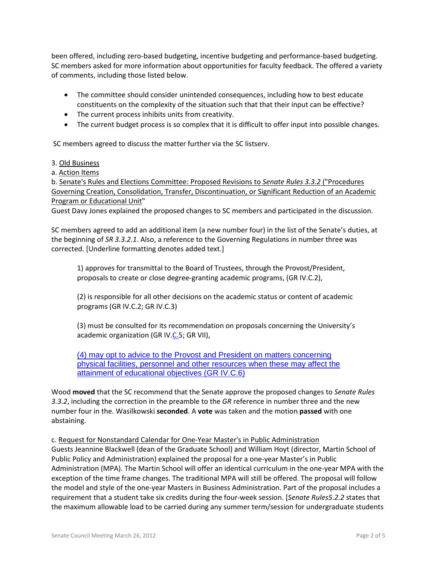been offered, including zero-based budgeting, incentive budgeting and performance-based budgeting. SC members asked for more information about opportunities for faculty feedback. The offered a variety of comments, including those listed below.

- The committee should consider unintended consequences, including how to best educate constituents on the complexity of the situation such that that their input can be effective?
- The current process inhibits units from creativity.
- The current budget process is so complex that it is difficult to offer input into possible changes.

SC members agreed to discuss the matter further via the SC listserv.

## 3. Old Business

a. Action Items

b. Senate's Rules and Elections Committee: Proposed Revisions to *Senate Rules 3.3.2* ("Procedures Governing Creation, Consolidation, Transfer, Discontinuation, or Significant Reduction of an Academic Program or Educational Unit"

Guest Davy Jones explained the proposed changes to SC members and participated in the discussion.

SC members agreed to add an additional item (a new number four) in the list of the Senate's duties, at the beginning of *SR 3.3.2.1*. Also, a reference to the Governing Regulations in number three was corrected. [Underline formatting denotes added text.]

1) approves for transmittal to the Board of Trustees, through the Provost/President, proposals to create or close degree-granting academic programs, (GR IV.C.2),

(2) is responsible for all other decisions on the academic status or content of academic programs (GR IV.C.2; GR IV.C.3)

(3) must be consulted for its recommendation on proposals concerning the University's academic organization (GR IV.C.5; GR VII),

(4) may opt to advice to the Provost and President on matters concerning physical facilities, personnel and other resources when these may affect the attainment of educational objectives (GR IV.C.6)

Wood **moved** that the SC recommend that the Senate approve the proposed changes to *Senate Rules 3.3.2*, including the correction in the preamble to the *GR* reference in number three and the new number four in the. Wasilkowski **seconded**. A **vote** was taken and the motion **passed** with one abstaining.

c. Request for Nonstandard Calendar for One-Year Master's in Public Administration Guests Jeannine Blackwell (dean of the Graduate School) and William Hoyt (director, Martin School of Public Policy and Administration) explained the proposal for a one-year Master's in Public Administration (MPA). The Martin School will offer an identical curriculum in the one-year MPA with the exception of the time frame changes. The traditional MPA will still be offered. The proposal will follow the model and style of the one-year Masters in Business Administration. Part of the proposal includes a requirement that a student take six credits during the four-week session. [*Senate Rules5.2.2* states that the maximum allowable load to be carried during any summer term/session for undergraduate students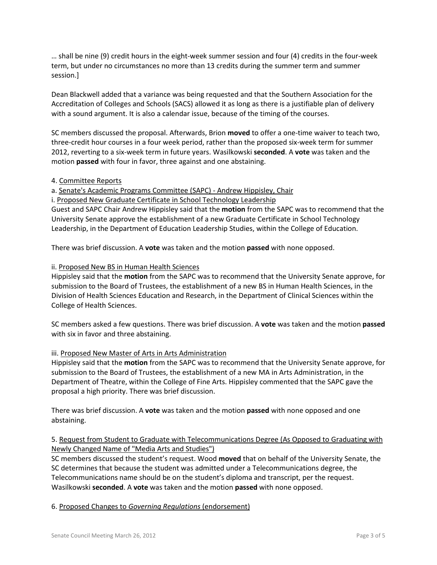… shall be nine (9) credit hours in the eight-week summer session and four (4) credits in the four-week term, but under no circumstances no more than 13 credits during the summer term and summer session.]

Dean Blackwell added that a variance was being requested and that the Southern Association for the Accreditation of Colleges and Schools (SACS) allowed it as long as there is a justifiable plan of delivery with a sound argument. It is also a calendar issue, because of the timing of the courses.

SC members discussed the proposal. Afterwards, Brion **moved** to offer a one-time waiver to teach two, three-credit hour courses in a four week period, rather than the proposed six-week term for summer 2012, reverting to a six-week term in future years. Wasilkowski **seconded**. A **vote** was taken and the motion **passed** with four in favor, three against and one abstaining.

## 4. Committee Reports

a. Senate's Academic Programs Committee (SAPC) - Andrew Hippisley, Chair

i. Proposed New Graduate Certificate in School Technology Leadership

Guest and SAPC Chair Andrew Hippisley said that the **motion** from the SAPC was to recommend that the University Senate approve the establishment of a new Graduate Certificate in School Technology Leadership, in the Department of Education Leadership Studies, within the College of Education.

There was brief discussion. A **vote** was taken and the motion **passed** with none opposed.

## ii. Proposed New BS in Human Health Sciences

Hippisley said that the **motion** from the SAPC was to recommend that the University Senate approve, for submission to the Board of Trustees, the establishment of a new BS in Human Health Sciences, in the Division of Health Sciences Education and Research, in the Department of Clinical Sciences within the College of Health Sciences.

SC members asked a few questions. There was brief discussion. A **vote** was taken and the motion **passed** with six in favor and three abstaining.

## iii. Proposed New Master of Arts in Arts Administration

Hippisley said that the **motion** from the SAPC was to recommend that the University Senate approve, for submission to the Board of Trustees, the establishment of a new MA in Arts Administration, in the Department of Theatre, within the College of Fine Arts. Hippisley commented that the SAPC gave the proposal a high priority. There was brief discussion.

There was brief discussion. A **vote** was taken and the motion **passed** with none opposed and one abstaining.

# 5. Request from Student to Graduate with Telecommunications Degree (As Opposed to Graduating with Newly Changed Name of "Media Arts and Studies")

SC members discussed the student's request. Wood **moved** that on behalf of the University Senate, the SC determines that because the student was admitted under a Telecommunications degree, the Telecommunications name should be on the student's diploma and transcript, per the request. Wasilkowski **seconded**. A **vote** was taken and the motion **passed** with none opposed.

## 6. Proposed Changes to *Governing Regulations* (endorsement)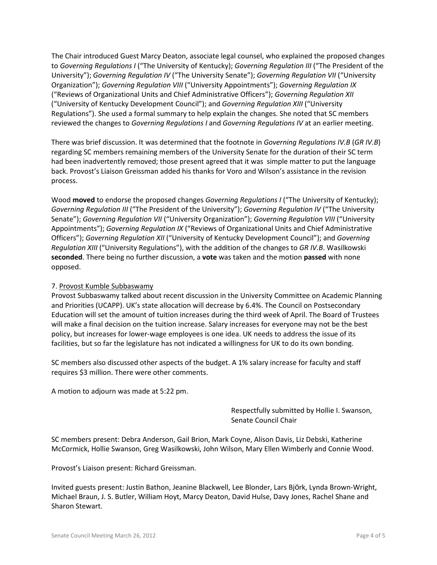The Chair introduced Guest Marcy Deaton, associate legal counsel, who explained the proposed changes to *Governing Regulations I* ("The University of Kentucky); *Governing Regulation III* ("The President of the University"); *Governing Regulation IV* ("The University Senate"); *Governing Regulation VII* ("University Organization"); *Governing Regulation VIII* ("University Appointments"); *Governing Regulation IX* ("Reviews of Organizational Units and Chief Administrative Officers"); *Governing Regulation XII* ("University of Kentucky Development Council"); and *Governing Regulation XIII* ("University Regulations"). She used a formal summary to help explain the changes. She noted that SC members reviewed the changes to *Governing Regulations I* and *Governing Regulations IV* at an earlier meeting.

There was brief discussion. It was determined that the footnote in *Governing Regulations IV.B* (*GR IV.B*) regarding SC members remaining members of the University Senate for the duration of their SC term had been inadvertently removed; those present agreed that it was simple matter to put the language back. Provost's Liaison Greissman added his thanks for Voro and Wilson's assistance in the revision process.

Wood **moved** to endorse the proposed changes *Governing Regulations I* ("The University of Kentucky); *Governing Regulation III* ("The President of the University"); *Governing Regulation IV* ("The University Senate"); *Governing Regulation VII* ("University Organization"); *Governing Regulation VIII* ("University Appointments"); *Governing Regulation IX* ("Reviews of Organizational Units and Chief Administrative Officers"); *Governing Regulation XII* ("University of Kentucky Development Council"); and *Governing Regulation XIII* ("University Regulations"), with the addition of the changes to *GR IV.B*. Wasilkowski **seconded**. There being no further discussion, a **vote** was taken and the motion **passed** with none opposed.

## 7. Provost Kumble Subbaswamy

Provost Subbaswamy talked about recent discussion in the University Committee on Academic Planning and Priorities (UCAPP). UK's state allocation will decrease by 6.4%. The Council on Postsecondary Education will set the amount of tuition increases during the third week of April. The Board of Trustees will make a final decision on the tuition increase. Salary increases for everyone may not be the best policy, but increases for lower-wage employees is one idea. UK needs to address the issue of its facilities, but so far the legislature has not indicated a willingness for UK to do its own bonding.

SC members also discussed other aspects of the budget. A 1% salary increase for faculty and staff requires \$3 million. There were other comments.

A motion to adjourn was made at 5:22 pm.

Respectfully submitted by Hollie I. Swanson, Senate Council Chair

SC members present: Debra Anderson, Gail Brion, Mark Coyne, Alison Davis, Liz Debski, Katherine McCormick, Hollie Swanson, Greg Wasilkowski, John Wilson, Mary Ellen Wimberly and Connie Wood.

Provost's Liaison present: Richard Greissman.

Invited guests present: Justin Bathon, Jeanine Blackwell, Lee Blonder, Lars Björk, Lynda Brown-Wright, Michael Braun, J. S. Butler, William Hoyt, Marcy Deaton, David Hulse, Davy Jones, Rachel Shane and Sharon Stewart.